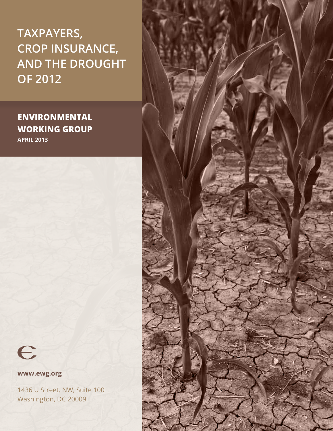**Taxpayers, Crop Insurance, and the Drought of 2012**

## **environmental working group April 2013**



**www.ewg.org** 

1436 U Street. NW, Suite 100 Washington, DC 20009

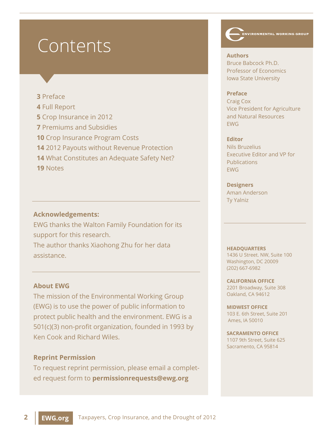# Contents

### **3** Preface

- **4** Full Report
- **5** Crop Insurance in 2012
- **7** Premiums and Subsidies
- **10** Crop Insurance Program Costs
- **14** 2012 Payouts without Revenue Protection
- **14** What Constitutes an Adequate Safety Net?
- **19** Notes

### **Acknowledgements:**

EWG thanks the Walton Family Foundation for its support for this research.

The author thanks Xiaohong Zhu for her data assistance.

## **About EWG**

The mission of the Environmental Working Group (EWG) is to use the power of public information to protect public health and the environment. EWG is a 501(c)(3) non-profit organization, founded in 1993 by Ken Cook and Richard Wiles.

### **Reprint Permission**

To request reprint permission, please email a completed request form to **permissionrequests@ewg.org**

**ENVIRONMENTAL WORKING GROUP** 

**Authors** Bruce Babcock Ph.D. Professor of Economics Iowa State University

#### **Preface**

Craig Cox Vice President for Agriculture and Natural Resources EWG

#### **Editor**

Nils Bruzelius Executive Editor and VP for Publications EWG

## **Designers**

Aman Anderson Ty Yalniz

#### **HEADQUARTERS**

1436 U Street. NW, Suite 100 Washington, DC 20009 (202) 667-6982

**CALIFORNIA OFFICE**  2201 Broadway, Suite 308 Oakland, CA 94612

**MIDWEST OFFICE**  103 E. 6th Street, Suite 201 Ames, IA 50010

**SACRAMENTO OFFICE** 1107 9th Street, Suite 625 Sacramento, CA 95814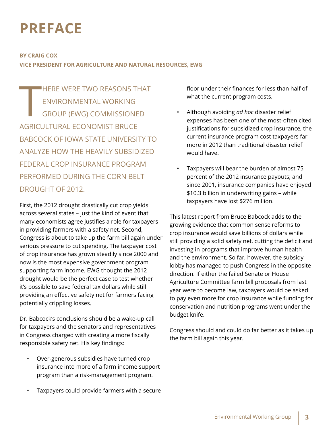# **PREFACE**

### **by Craig Cox**

**Vice President for Agriculture and Natural Resources, EWG**

to the contract of the contract of the contract of the contract of the contract of the contract of the contract of the contract of the contract of the contract of the contract of the contract of the contract of the contrac **HERE WERE TWO REASONS THAT** Environmental Working Group (EWG) commissioned agricultural economist Bruce Babcock of Iowa State University to analyze how the heavily subsidized federal crop insurance program performed during the Corn Belt DROUGHT OF 2012.

First, the 2012 drought drastically cut crop yields across several states – just the kind of event that many economists agree justifies a role for taxpayers in providing farmers with a safety net. Second, Congress is about to take up the farm bill again under serious pressure to cut spending. The taxpayer cost of crop insurance has grown steadily since 2000 and now is the most expensive government program supporting farm income. EWG thought the 2012 drought would be the perfect case to test whether it's possible to save federal tax dollars while still providing an effective safety net for farmers facing potentially crippling losses.

Dr. Babcock's conclusions should be a wake-up call for taxpayers and the senators and representatives in Congress charged with creating a more fiscally responsible safety net. His key findings:

- Over-generous subsidies have turned crop insurance into more of a farm income support program than a risk-management program.
- Taxpayers could provide farmers with a secure

floor under their finances for less than half of what the current program costs.

- Although avoiding *ad hoc* disaster relief expenses has been one of the most-often cited justifications for subsidized crop insurance, the current insurance program cost taxpayers far more in 2012 than traditional disaster relief would have.
- Taxpayers will bear the burden of almost 75 percent of the 2012 insurance payouts; and since 2001, insurance companies have enjoyed \$10.3 billion in underwriting gains – while taxpayers have lost \$276 million.

This latest report from Bruce Babcock adds to the growing evidence that common sense reforms to crop insurance would save billions of dollars while still providing a solid safety net, cutting the deficit and investing in programs that improve human health and the environment. So far, however, the subsidy lobby has managed to push Congress in the opposite direction. If either the failed Senate or House Agriculture Committee farm bill proposals from last year were to become law, taxpayers would be asked to pay even more for crop insurance while funding for conservation and nutrition programs went under the budget knife.

Congress should and could do far better as it takes up the farm bill again this year.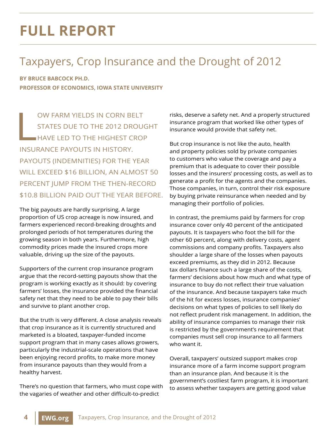# **full report**

# Taxpayers, Crop Insurance and the Drought of 2012

**By Bruce Babcock Ph.D. Professor of Economics, Iowa State University**

 $\begin{bmatrix} \n\vdots \\
\vdots \\
\vdots\n\end{bmatrix}$ ow farm yields in Corn Belt states due to the 2012 drought have led to the highest crop insurance payouts in history. Payouts (indemnities) for the year will exceed \$16 billion, an almost 50 percent jump from the then-record \$10.8 billion paid out the year before.

The big payouts are hardly surprising. A large proportion of US crop acreage is now insured, and farmers experienced record-breaking droughts and prolonged periods of hot temperatures during the growing season in both years. Furthermore, high commodity prices made the insured crops more valuable, driving up the size of the payouts.

Supporters of the current crop insurance program argue that the record-setting payouts show that the program is working exactly as it should: by covering farmers' losses, the insurance provided the financial safety net that they need to be able to pay their bills and survive to plant another crop.

But the truth is very different. A close analysis reveals that crop insurance as it is currently structured and marketed is a bloated, taxpayer-funded income support program that in many cases allows growers, particularly the industrial-scale operations that have been enjoying record profits, to make more money from insurance payouts than they would from a healthy harvest.

There's no question that farmers, who must cope with the vagaries of weather and other difficult-to-predict

risks, deserve a safety net. And a properly structured insurance program that worked like other types of insurance would provide that safety net.

But crop insurance is not like the auto, health and property policies sold by private companies to customers who value the coverage and pay a premium that is adequate to cover their possible losses and the insurers' processing costs, as well as to generate a profit for the agents and the companies. Those companies, in turn, control their risk exposure by buying private reinsurance when needed and by managing their portfolio of policies.

In contrast, the premiums paid by farmers for crop insurance cover only 40 percent of the anticipated payouts. It is taxpayers who foot the bill for the other 60 percent, along with delivery costs, agent commissions and company profits. Taxpayers also shoulder a large share of the losses when payouts exceed premiums, as they did in 2012. Because tax dollars finance such a large share of the costs, farmers' decisions about how much and what type of insurance to buy do not reflect their true valuation of the insurance. And because taxpayers take much of the hit for excess losses, insurance companies' decisions on what types of policies to sell likely do not reflect prudent risk management. In addition, the ability of insurance companies to manage their risk is restricted by the government's requirement that companies must sell crop insurance to all farmers who want it.

Overall, taxpayers' outsized support makes crop insurance more of a farm income support program than an insurance plan. And because it is the government's costliest farm program, it is important to assess whether taxpayers are getting good value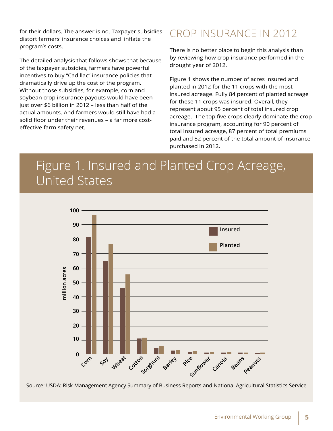for their dollars. The answer is no. Taxpayer subsidies distort farmers' insurance choices and inflate the program's costs.

The detailed analysis that follows shows that because of the taxpayer subsidies, farmers have powerful incentives to buy "Cadillac" insurance policies that dramatically drive up the cost of the program. Without those subsidies, for example, corn and soybean crop insurance payouts would have been just over \$6 billion in 2012 – less than half of the actual amounts. And farmers would still have had a solid floor under their revenues – a far more costeffective farm safety net.

# Crop Insurance in 2012

There is no better place to begin this analysis than by reviewing how crop insurance performed in the drought year of 2012.

Figure 1 shows the number of acres insured and planted in 2012 for the 11 crops with the most insured acreage. Fully 84 percent of planted acreage for these 11 crops was insured. Overall, they represent about 95 percent of total insured crop acreage. The top five crops clearly dominate the crop insurance program, accounting for 90 percent of total insured acreage, 87 percent of total premiums paid and 82 percent of the total amount of insurance purchased in 2012.

# Figure 1. Insured and Planted Crop Acreage, United States



Source: USDA: Risk Management Agency Summary of Business Reports and National Agricultural Statistics Service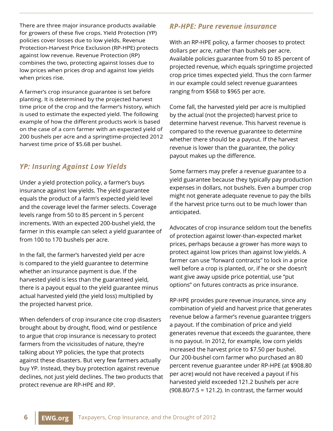There are three major insurance products available for growers of these five crops. Yield Protection (YP) policies cover losses due to low yields. Revenue Protection-Harvest Price Exclusion (RP-HPE) protects against low revenue. Revenue Protection (RP) combines the two, protecting against losses due to low prices when prices drop and against low yields when prices rise.

A farmer's crop insurance guarantee is set before planting. It is determined by the projected harvest time price of the crop and the farmer's history, which is used to estimate the expected yield. The following example of how the different products work is based on the case of a corn farmer with an expected yield of 200 bushels per acre and a springtime-projected 2012 harvest time price of \$5.68 per bushel.

## *YP: Insuring Against Low Yields*

Under a yield protection policy, a farmer's buys insurance against low yields. The yield guarantee equals the product of a farm's expected yield level and the coverage level the farmer selects. Coverage levels range from 50 to 85 percent in 5 percent increments. With an expected 200-bushel yield, the farmer in this example can select a yield guarantee of from 100 to 170 bushels per acre.

In the fall, the farmer's harvested yield per acre is compared to the yield guarantee to determine whether an insurance payment is due. If the harvested yield is less than the guaranteed yield, there is a payout equal to the yield guarantee minus actual harvested yield (the yield loss) multiplied by the projected harvest price.

When defenders of crop insurance cite crop disasters brought about by drought, flood, wind or pestilence to argue that crop insurance is necessary to protect farmers from the vicissitudes of nature, they're talking about YP policies, the type that protects against these disasters. But very few farmers actually buy YP. Instead, they buy protection against revenue declines, not just yield declines. The two products that protect revenue are RP-HPE and RP.

## *RP-HPE: Pure revenue insurance*

With an RP-HPE policy, a farmer chooses to protect dollars per acre, rather than bushels per acre. Available policies guarantee from 50 to 85 percent of projected revenue, which equals springtime projected crop price times expected yield. Thus the corn farmer in our example could select revenue guarantees ranging from \$568 to \$965 per acre.

Come fall, the harvested yield per acre is multiplied by the actual (not the projected) harvest price to determine harvest revenue. This harvest revenue is compared to the revenue guarantee to determine whether there should be a payout. If the harvest revenue is lower than the guarantee, the policy payout makes up the difference.

Some farmers may prefer a revenue guarantee to a yield guarantee because they typically pay production expenses in dollars, not bushels. Even a bumper crop might not generate adequate revenue to pay the bills if the harvest price turns out to be much lower than anticipated.

Advocates of crop insurance seldom tout the benefits of protection against lower-than-expected market prices, perhaps because a grower has more ways to protect against low prices than against low yields. A farmer can use "forward contracts" to lock in a price well before a crop is planted, or, if he or she doesn't want give away upside price potential, use "put options" on futures contracts as price insurance.

RP-HPE provides pure revenue insurance, since any combination of yield and harvest price that generates revenue below a farmer's revenue guarantee triggers a payout. If the combination of price and yield generates revenue that exceeds the guarantee, there is no payout. In 2012, for example, low corn yields increased the harvest price to \$7.50 per bushel. Our 200-bushel corn farmer who purchased an 80 percent revenue guarantee under RP-HPE (at \$908.80 per acre) would not have received a payout if his harvested yield exceeded 121.2 bushels per acre (908.80/7.5 = 121.2). In contrast, the farmer would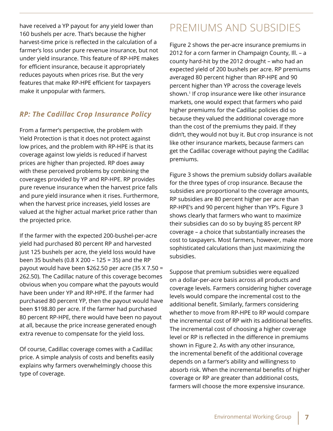have received a YP payout for any yield lower than 160 bushels per acre. That's because the higher harvest-time price is reflected in the calculation of a farmer's loss under pure revenue insurance, but not under yield insurance. This feature of RP-HPE makes for efficient insurance, because it appropriately reduces payouts when prices rise. But the very features that make RP-HPE efficient for taxpayers make it unpopular with farmers.

## *RP: The Cadillac Crop Insurance Policy*

From a farmer's perspective, the problem with Yield Protection is that it does not protect against low prices, and the problem with RP-HPE is that its coverage against low yields is reduced if harvest prices are higher than projected. RP does away with these perceived problems by combining the coverages provided by YP and RP-HPE. RP provides pure revenue insurance when the harvest price falls and pure yield insurance when it rises. Furthermore, when the harvest price increases, yield losses are valued at the higher actual market price rather than the projected price.

If the farmer with the expected 200-bushel-per-acre yield had purchased 80 percent RP and harvested just 125 bushels per acre, the yield loss would have been 35 bushels (0.8 X 200 – 125 = 35) and the RP payout would have been \$262.50 per acre (35 X 7.50 = 262.50). The Cadillac nature of this coverage becomes obvious when you compare what the payouts would have been under YP and RP-HPE. If the farmer had purchased 80 percent YP, then the payout would have been \$198.80 per acre. If the farmer had purchased 80 percent RP-HPE, there would have been no payout at all, because the price increase generated enough extra revenue to compensate for the yield loss.

Of course, Cadillac coverage comes with a Cadillac price. A simple analysis of costs and benefits easily explains why farmers overwhelmingly choose this type of coverage.

## Premiums and Subsidies

Figure 2 shows the per-acre insurance premiums in 2012 for a corn farmer in Champaign County, Ill. – a county hard-hit by the 2012 drought – who had an expected yield of 200 bushels per acre. RP premiums averaged 80 percent higher than RP-HPE and 90 percent higher than YP across the coverage levels shown.<sup>1</sup> If crop insurance were like other insurance markets, one would expect that farmers who paid higher premiums for the Cadillac policies did so because they valued the additional coverage more than the cost of the premiums they paid. If they didn't, they would not buy it. But crop insurance is not like other insurance markets, because farmers can get the Cadillac coverage without paying the Cadillac premiums.

Figure 3 shows the premium subsidy dollars available for the three types of crop insurance. Because the subsidies are proportional to the coverage amounts, RP subsidies are 80 percent higher per acre than RP-HPE's and 90 percent higher than YP's. Figure 3 shows clearly that farmers who want to maximize their subsidies can do so by buying 85 percent RP coverage – a choice that substantially increases the cost to taxpayers. Most farmers, however, make more sophisticated calculations than just maximizing the subsidies.

Suppose that premium subsidies were equalized on a dollar-per-acre basis across all products and coverage levels. Farmers considering higher coverage levels would compare the incremental cost to the additional benefit. Similarly, farmers considering whether to move from RP-HPE to RP would compare the incremental cost of RP with its additional benefits. The incremental cost of choosing a higher coverage level or RP is reflected in the difference in premiums shown in Figure 2. As with any other insurance, the incremental benefit of the additional coverage depends on a farmer's ability and willingness to absorb risk. When the incremental benefits of higher coverage or RP are greater than additional costs, farmers will choose the more expensive insurance.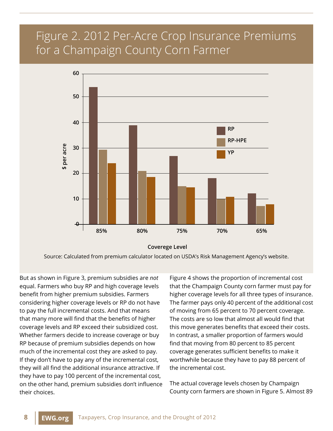# Figure 2. 2012 Per-Acre Crop Insurance Premiums for a Champaign County Corn Farmer



**Coverege Level**

Source: Calculated from premium calculator located on USDA's Risk Management Agency's website.

But as shown in Figure 3, premium subsidies are *not* equal. Farmers who buy RP and high coverage levels benefit from higher premium subsidies. Farmers considering higher coverage levels or RP do not have to pay the full incremental costs. And that means that many more will find that the benefits of higher coverage levels and RP exceed their subsidized cost. Whether farmers decide to increase coverage or buy RP because of premium subsidies depends on how much of the incremental cost they are asked to pay. If they don't have to pay any of the incremental cost, they will all find the additional insurance attractive. If they have to pay 100 percent of the incremental cost, on the other hand, premium subsidies don't influence their choices.

Figure 4 shows the proportion of incremental cost that the Champaign County corn farmer must pay for higher coverage levels for all three types of insurance. The farmer pays only 40 percent of the additional cost of moving from 65 percent to 70 percent coverage. The costs are so low that almost all would find that this move generates benefits that exceed their costs. In contrast, a smaller proportion of farmers would find that moving from 80 percent to 85 percent coverage generates sufficient benefits to make it worthwhile because they have to pay 88 percent of the incremental cost.

The actual coverage levels chosen by Champaign County corn farmers are shown in Figure 5. Almost 89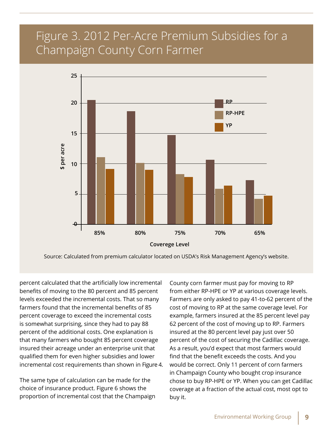# Figure 3. 2012 Per-Acre Premium Subsidies for a Champaign County Corn Farmer



Source: Calculated from premium calculator located on USDA's Risk Management Agency's website.

percent calculated that the artificially low incremental benefits of moving to the 80 percent and 85 percent levels exceeded the incremental costs. That so many farmers found that the incremental benefits of 85 percent coverage to exceed the incremental costs is somewhat surprising, since they had to pay 88 percent of the additional costs. One explanation is that many farmers who bought 85 percent coverage insured their acreage under an enterprise unit that qualified them for even higher subsidies and lower incremental cost requirements than shown in Figure 4.

The same type of calculation can be made for the choice of insurance product. Figure 6 shows the proportion of incremental cost that the Champaign

County corn farmer must pay for moving to RP from either RP-HPE or YP at various coverage levels. Farmers are only asked to pay 41-to-62 percent of the cost of moving to RP at the same coverage level. For example, farmers insured at the 85 percent level pay 62 percent of the cost of moving up to RP. Farmers insured at the 80 percent level pay just over 50 percent of the cost of securing the Cadillac coverage. As a result, you'd expect that most farmers would find that the benefit exceeds the costs. And you would be correct. Only 11 percent of corn farmers in Champaign County who bought crop insurance chose to buy RP-HPE or YP. When you can get Cadillac coverage at a fraction of the actual cost, most opt to buy it.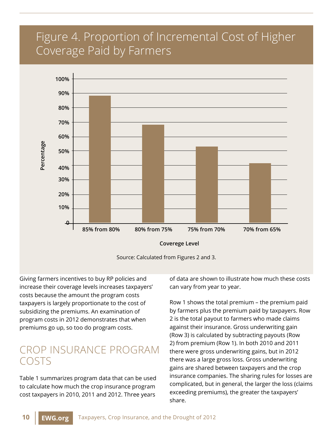# Figure 4. Proportion of Incremental Cost of Higher Coverage Paid by Farmers





Giving farmers incentives to buy RP policies and increase their coverage levels increases taxpayers' costs because the amount the program costs taxpayers is largely proportionate to the cost of subsidizing the premiums. An examination of program costs in 2012 demonstrates that when premiums go up, so too do program costs.

## Crop Insurance Program **COSTS**

Table 1 summarizes program data that can be used to calculate how much the crop insurance program cost taxpayers in 2010, 2011 and 2012. Three years

of data are shown to illustrate how much these costs can vary from year to year.

Row 1 shows the total premium – the premium paid by farmers plus the premium paid by taxpayers. Row 2 is the total payout to farmers who made claims against their insurance. Gross underwriting gain (Row 3) is calculated by subtracting payouts (Row 2) from premium (Row 1). In both 2010 and 2011 there were gross underwriting gains, but in 2012 there was a large gross loss. Gross underwriting gains are shared between taxpayers and the crop insurance companies. The sharing rules for losses are complicated, but in general, the larger the loss (claims exceeding premiums), the greater the taxpayers' share.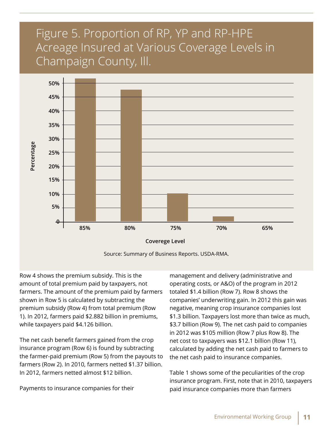# Figure 5. Proportion of RP, YP and RP-HPE Acreage Insured at Various Coverage Levels in Champaign County, Ill.



Row 4 shows the premium subsidy. This is the amount of total premium paid by taxpayers, not farmers. The amount of the premium paid by farmers shown in Row 5 is calculated by subtracting the premium subsidy (Row 4) from total premium (Row 1). In 2012, farmers paid \$2.882 billion in premiums, while taxpayers paid \$4.126 billion.

The net cash benefit farmers gained from the crop insurance program (Row 6) is found by subtracting the farmer-paid premium (Row 5) from the payouts to farmers (Row 2). In 2010, farmers netted \$1.37 billion. In 2012, farmers netted almost \$12 billion.

Payments to insurance companies for their

management and delivery (administrative and operating costs, or A&O) of the program in 2012 totaled \$1.4 billion (Row 7). Row 8 shows the companies' underwriting gain. In 2012 this gain was negative, meaning crop insurance companies lost \$1.3 billion. Taxpayers lost more than twice as much, \$3.7 billion (Row 9). The net cash paid to companies in 2012 was \$105 million (Row 7 plus Row 8). The net cost to taxpayers was \$12.1 billion (Row 11), calculated by adding the net cash paid to farmers to the net cash paid to insurance companies.

Table 1 shows some of the peculiarities of the crop insurance program. First, note that in 2010, taxpayers paid insurance companies more than farmers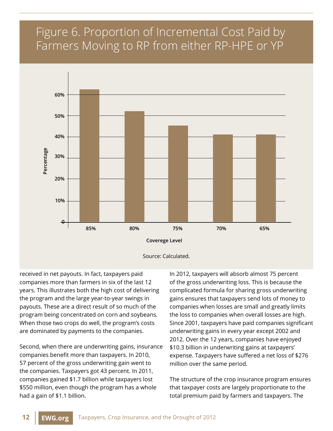# Figure 6. Proportion of Incremental Cost Paid by Farmers Moving to RP from either RP-HPE or YP



received in net payouts. In fact, taxpayers paid companies more than farmers in six of the last 12 years. This illustrates both the high cost of delivering the program and the large year-to-year swings in payouts. These are a direct result of so much of the program being concentrated on corn and soybeans. When those two crops do well, the program's costs are dominated by payments to the companies.

Second, when there are underwriting gains, insurance companies benefit more than taxpayers. In 2010, 57 percent of the gross underwriting gain went to the companies. Taxpayers got 43 percent. In 2011, companies gained \$1.7 billion while taxpayers lost \$550 million, even though the program has a whole had a gain of \$1.1 billion.

In 2012, taxpayers will absorb almost 75 percent of the gross underwriting loss. This is because the complicated formula for sharing gross underwriting gains ensures that taxpayers send lots of money to companies when losses are small and greatly limits the loss to companies when overall losses are high. Since 2001, taxpayers have paid companies significant underwriting gains in every year except 2002 and 2012. Over the 12 years, companies have enjoyed \$10.3 billion in underwriting gains at taxpayers' expense. Taxpayers have suffered a net loss of \$276 million over the same period.

The structure of the crop insurance program ensures that taxpayer costs are largely proportionate to the total premium paid by farmers and taxpayers. The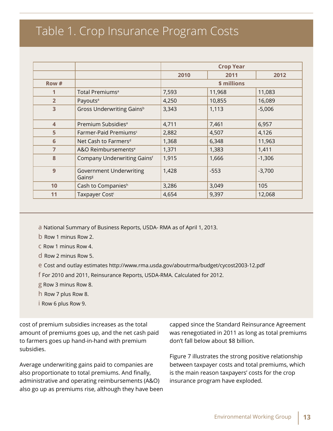# Table 1. Crop Insurance Program Costs

|                         |                                                      | <b>Crop Year</b> |        |          |
|-------------------------|------------------------------------------------------|------------------|--------|----------|
|                         |                                                      | 2010             | 2011   | 2012     |
| Row #                   |                                                      | \$ millions      |        |          |
| 1                       | Total Premiums <sup>a</sup>                          | 7,593            | 11,968 | 11,083   |
| $\overline{2}$          | Payouts <sup>a</sup>                                 | 4,250            | 10,855 | 16,089   |
| 3                       | Gross Underwriting Gains <sup>b</sup>                | 3,343            | 1,113  | $-5,006$ |
| $\overline{\mathbf{4}}$ | Premium Subsidies <sup>a</sup>                       | 4,711            | 7,461  | 6,957    |
| 5                       | Farmer-Paid Premiums <sup>c</sup>                    | 2,882            | 4,507  | 4,126    |
| 6                       | Net Cash to Farmers <sup>d</sup>                     | 1,368            | 6,348  | 11,963   |
| $\overline{7}$          | A&O Reimbursements <sup>e</sup>                      | 1,371            | 1,383  | 1,411    |
| 8                       | Company Underwriting Gainsf                          | 1,915            | 1,666  | $-1,306$ |
| 9                       | <b>Government Underwriting</b><br>Gains <sup>g</sup> | 1,428            | $-553$ | $-3,700$ |
| 10                      | Cash to Companiesh                                   | 3,286            | 3,049  | 105      |
| 11                      | Taxpayer Costi                                       | 4,654            | 9,397  | 12,068   |

a National Summary of Business Reports, USDA- RMA as of April 1, 2013.

b Row 1 minus Row 2.

c Row 1 minus Row 4.

d Row 2 minus Row 5.

e Cost and outlay estimates http://www.rma.usda.gov/aboutrma/budget/cycost2003-12.pdf

f For 2010 and 2011, Reinsurance Reports, USDA-RMA. Calculated for 2012.

g Row 3 minus Row 8.

h Row 7 plus Row 8.

i Row 6 plus Row 9.

cost of premium subsidies increases as the total amount of premiums goes up, and the net cash paid to farmers goes up hand-in-hand with premium subsidies.

Average underwriting gains paid to companies are also proportionate to total premiums. And finally, administrative and operating reimbursements (A&O) also go up as premiums rise, although they have been capped since the Standard Reinsurance Agreement was renegotiated in 2011 as long as total premiums don't fall below about \$8 billion.

Figure 7 illustrates the strong positive relationship between taxpayer costs and total premiums, which is the main reason taxpayers' costs for the crop insurance program have exploded.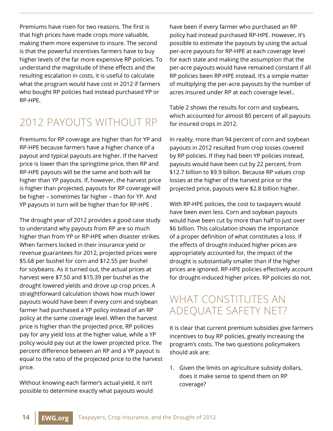Premiums have risen for two reasons. The first is that high prices have made crops more valuable, making them more expensive to insure. The second is that the powerful incentives farmers have to buy higher levels of the far more expensive RP policies. To understand the magnitude of these effects and the resulting escalation in costs, it is useful to calculate what the program would have cost in 2012 if farmers who bought RP policies had instead purchased YP or RP-HPE.

# 2012 Payouts without RP

Premiums for RP coverage are higher than for YP and RP-HPE because farmers have a higher chance of a payout and typical payouts are higher. If the harvest price is lower than the springtime price, then RP and RP-HPE payouts will be the same and both will be higher than YP payouts. If, however, the harvest price is higher than projected, payouts for RP coverage will be higher – sometimes far higher – than for YP. And YP payouts in turn will be higher than for RP-HPE .

The drought year of 2012 provides a good case study to understand why payouts from RP are so much higher than from YP or RP-HPE when disaster strikes. When farmers locked in their insurance yield or revenue guarantees for 2012, projected prices were \$5.68 per bushel for corn and \$12.55 per bushel for soybeans. As it turned out, the actual prices at harvest were \$7.50 and \$15.39 per bushel as the drought lowered yields and drove up crop prices. A straightforward calculation shows how much lower payouts would have been if every corn and soybean farmer had purchased a YP policy instead of an RP policy at the same coverage level. When the harvest price is higher than the projected price, RP policies pay for any yield loss at the higher value, while a YP policy would pay out at the lower projected price. The percent difference between an RP and a YP payout is equal to the ratio of the projected price to the harvest price.

Without knowing each farmer's actual yield, it isn't possible to determine exactly what payouts would have been if every farmer who purchased an RP policy had instead purchased RP-HPE. However, it's possible to estimate the payouts by using the actual per-acre payouts for RP-HPE at each coverage level for each state and making the assumption that the per-acre payouts would have remained constant if all RP policies been RP-HPE instead. It's a simple matter of multiplying the per-acre payouts by the number of acres insured under RP at each coverage level..

Table 2 shows the results for corn and soybeans, which accounted for almost 80 percent of all payouts for insured crops in 2012.

In reality, more than 94 percent of corn and soybean payouts in 2012 resulted from crop losses covered by RP policies. If they had been YP policies instead, payouts would have been cut by 22 percent, from \$12.7 billion to \$9.9 billion. Because RP values crop losses at the higher of the harvest price or the projected price, payouts were \$2.8 billion higher.

With RP-HPE policies, the cost to taxpayers would have been even less. Corn and soybean payouts would have been cut by more than half to just over \$6 billion. This calculation shows the importance of a proper definition of what constitutes a loss. If the effects of drought-induced higher prices are appropriately accounted for, the impact of the drought is substantially smaller than if the higher prices are ignored. RP-HPE policies effectively account for drought-induced higher prices. RP policies do not.

## WHAT CONSTITUTES AN Adequate Safety Net?

It is clear that current premium subsidies give farmers incentives to buy RP policies, greatly increasing the program's costs. The two questions policymakers should ask are:

1. Given the limits on agriculture subsidy dollars, does it make sense to spend them on RP coverage?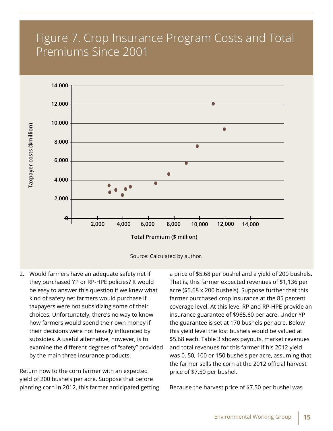# Figure 7. Crop Insurance Program Costs and Total Premiums Since 2001





2. Would farmers have an adequate safety net if they purchased YP or RP-HPE policies? It would be easy to answer this question if we knew what kind of safety net farmers would purchase if taxpayers were not subsidizing some of their choices. Unfortunately, there's no way to know how farmers would spend their own money if their decisions were not heavily influenced by subsidies. A useful alternative, however, is to examine the different degrees of "safety" provided by the main three insurance products.

Return now to the corn farmer with an expected yield of 200 bushels per acre. Suppose that before planting corn in 2012, this farmer anticipated getting a price of \$5.68 per bushel and a yield of 200 bushels. That is, this farmer expected revenues of \$1,136 per acre (\$5.68 x 200 bushels). Suppose further that this farmer purchased crop insurance at the 85 percent coverage level. At this level RP and RP-HPE provide an insurance guarantee of \$965.60 per acre. Under YP the guarantee is set at 170 bushels per acre. Below this yield level the lost bushels would be valued at \$5.68 each. Table 3 shows payouts, market revenues and total revenues for this farmer if his 2012 yield was 0, 50, 100 or 150 bushels per acre, assuming that the farmer sells the corn at the 2012 official harvest price of \$7.50 per bushel.

Because the harvest price of \$7.50 per bushel was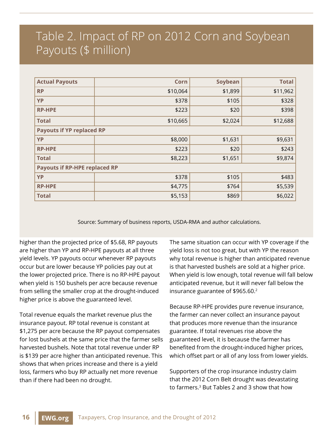# Table 2. Impact of RP on 2012 Corn and Soybean Payouts (\$ million)

| <b>Actual Payouts</b>                | Corn     | Soybean | <b>Total</b> |  |  |  |  |
|--------------------------------------|----------|---------|--------------|--|--|--|--|
| <b>RP</b>                            | \$10,064 | \$1,899 | \$11,962     |  |  |  |  |
| YP                                   | \$378    | \$105   | \$328        |  |  |  |  |
| <b>RP-HPE</b>                        | \$223    | \$20    | \$398        |  |  |  |  |
| <b>Total</b>                         | \$10,665 | \$2,024 | \$12,688     |  |  |  |  |
| <b>Payouts if YP replaced RP</b>     |          |         |              |  |  |  |  |
| YP                                   | \$8,000  | \$1,631 | \$9,631      |  |  |  |  |
| <b>RP-HPE</b>                        | \$223    | \$20    | \$243        |  |  |  |  |
| <b>Total</b>                         | \$8,223  | \$1,651 | \$9,874      |  |  |  |  |
| <b>Payouts if RP-HPE replaced RP</b> |          |         |              |  |  |  |  |
| YP                                   | \$378    | \$105   | \$483        |  |  |  |  |
| <b>RP-HPE</b>                        | \$4,775  | \$764   | \$5,539      |  |  |  |  |
| <b>Total</b>                         | \$5,153  | \$869   | \$6,022      |  |  |  |  |

Source: Summary of business reports, USDA-RMA and author calculations.

higher than the projected price of \$5.68, RP payouts are higher than YP and RP-HPE payouts at all three yield levels. YP payouts occur whenever RP payouts occur but are lower because YP policies pay out at the lower projected price. There is no RP-HPE payout when yield is 150 bushels per acre because revenue from selling the smaller crop at the drought-induced higher price is above the guaranteed level.

Total revenue equals the market revenue plus the insurance payout. RP total revenue is constant at \$1,275 per acre because the RP payout compensates for lost bushels at the same price that the farmer sells harvested bushels. Note that total revenue under RP is \$139 per acre higher than anticipated revenue. This shows that when prices increase and there is a yield loss, farmers who buy RP actually net more revenue than if there had been no drought.

The same situation can occur with YP coverage if the yield loss is not too great, but with YP the reason why total revenue is higher than anticipated revenue is that harvested bushels are sold at a higher price. When yield is low enough, total revenue will fall below anticipated revenue, but it will never fall below the insurance guarantee of \$965.60.2

Because RP-HPE provides pure revenue insurance, the farmer can never collect an insurance payout that produces more revenue than the insurance guarantee. If total revenues rise above the guaranteed level, it is because the farmer has benefited from the drought-induced higher prices, which offset part or all of any loss from lower yields.

Supporters of the crop insurance industry claim that the 2012 Corn Belt drought was devastating to farmers.3 But Tables 2 and 3 show that how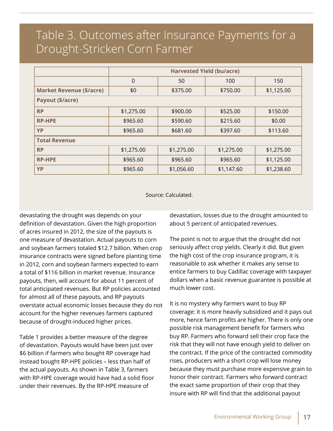# Table 3. Outcomes after Insurance Payments for a Drought-Stricken Corn Farmer

|                                 | <b>Harvested Yield (bu/acre)</b> |            |            |            |  |  |  |
|---------------------------------|----------------------------------|------------|------------|------------|--|--|--|
|                                 | $\mathbf 0$                      | 50         | 100        | 150        |  |  |  |
| <b>Market Revenue (\$/acre)</b> | \$0                              | \$375.00   | \$750.00   | \$1,125.00 |  |  |  |
| Payout (\$/acre)                |                                  |            |            |            |  |  |  |
| <b>RP</b>                       | \$1,275.00                       | \$900.00   | \$525.00   | \$150.00   |  |  |  |
| <b>RP-HPE</b>                   | \$965.60                         | \$590.60   | \$215.60   | \$0.00     |  |  |  |
| <b>YP</b>                       | \$965.60                         | \$681.60   | \$397.60   | \$113.60   |  |  |  |
| <b>Total Revenue</b>            |                                  |            |            |            |  |  |  |
| <b>RP</b>                       | \$1,275.00                       | \$1,275.00 | \$1,275.00 | \$1,275.00 |  |  |  |
| <b>RP-HPE</b>                   | \$965.60                         | \$965.60   | \$965.60   | \$1,125.00 |  |  |  |
| <b>YP</b>                       | \$965.60                         | \$1,056.60 | \$1,147.60 | \$1,238.60 |  |  |  |

Source: Calculated.

devastating the drought was depends on your definition of devastation. Given the high proportion of acres insured in 2012, the size of the payouts is one measure of devastation. Actual payouts to corn and soybean farmers totaled \$12.7 billion. When crop insurance contracts were signed before planting time in 2012, corn and soybean farmers expected to earn a total of \$116 billion in market revenue. Insurance payouts, then, will account for about 11 percent of total anticipated revenues. But RP policies accounted for almost all of these payouts, and RP payouts overstate actual economic losses because they do not account for the higher revenues farmers captured because of drought-induced higher prices.

Table 1 provides a better measure of the degree of devastation. Payouts would have been just over \$6 billion if farmers who bought RP coverage had instead bought RP-HPE policies – less than half of the actual payouts. As shown in Table 3, farmers with RP-HPE coverage would have had a solid floor under their revenues. By the RP-HPE measure of

devastation, losses due to the drought amounted to about 5 percent of anticipated revenues.

The point is not to argue that the drought did not seriously affect crop yields. Clearly it did. But given the high cost of the crop insurance program, it is reasonable to ask whether it makes any sense to entice farmers to buy Cadillac coverage with taxpayer dollars when a basic revenue guarantee is possible at much lower cost.

It is no mystery why farmers want to buy RP coverage: it is more heavily subsidized and it pays out more, hence farm profits are higher. There is only one possible risk management benefit for farmers who buy RP. Farmers who forward sell their crop face the risk that they will not have enough yield to deliver on the contract. If the price of the contracted commodity rises, producers with a short crop will lose money because they must purchase more expensive grain to honor their contract. Farmers who forward contract the exact same proportion of their crop that they insure with RP will find that the additional payout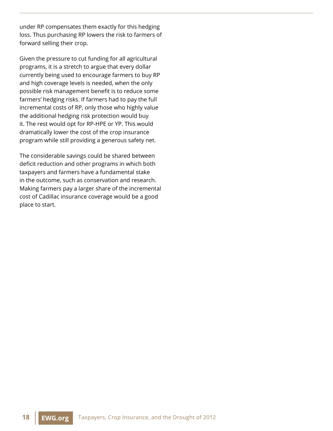under RP compensates them exactly for this hedging loss. Thus purchasing RP lowers the risk to farmers of forward selling their crop.

Given the pressure to cut funding for all agricultural programs, it is a stretch to argue that every dollar currently being used to encourage farmers to buy RP and high coverage levels is needed, when the only possible risk management benefit is to reduce some farmers' hedging risks. If farmers had to pay the full incremental costs of RP, only those who highly value the additional hedging risk protection would buy it. The rest would opt for RP-HPE or YP. This would dramatically lower the cost of the crop insurance program while still providing a generous safety net.

The considerable savings could be shared between deficit reduction and other programs in which both taxpayers and farmers have a fundamental stake in the outcome, such as conservation and research. Making farmers pay a larger share of the incremental cost of Cadillac insurance coverage would be a good place to start.